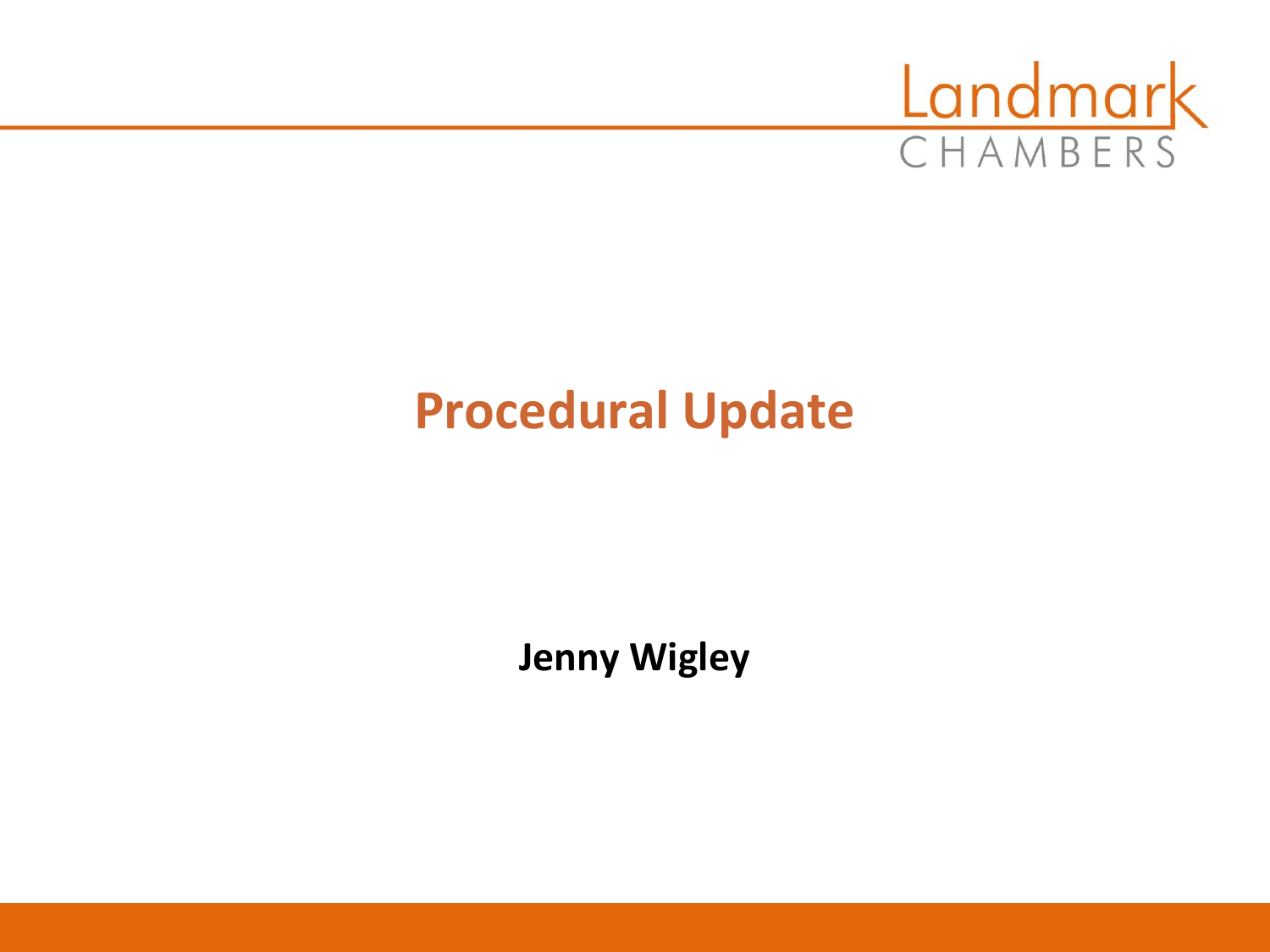

#### **Procedural Update**

**Jenny Wigley**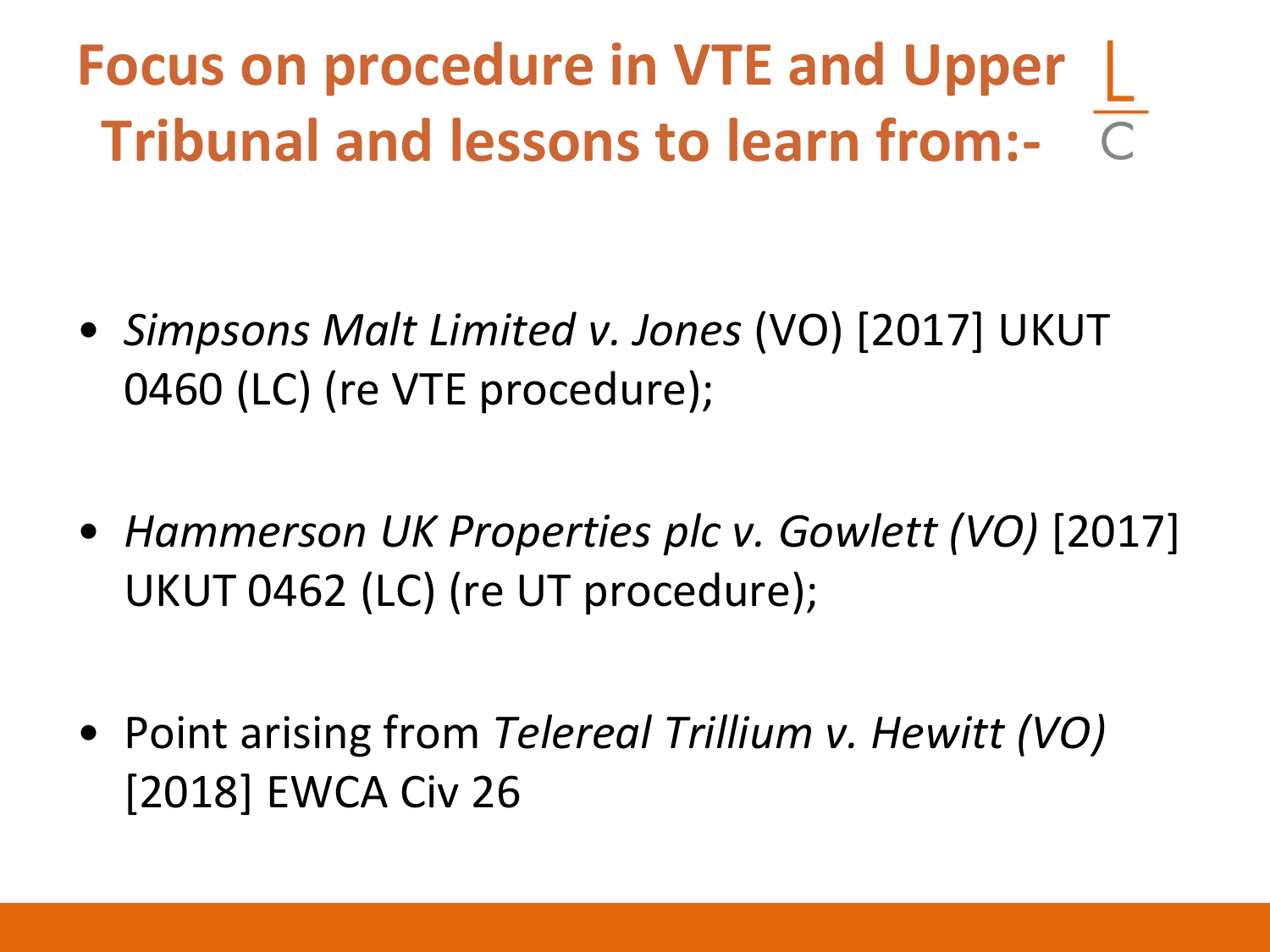**Focus on procedure in VTE and Upper Tribunal and lessons to learn from:-**

- *Simpsons Malt Limited v. Jones* (VO) [2017] UKUT 0460 (LC) (re VTE procedure);
- *Hammerson UK Properties plc v. Gowlett (VO)* [2017] UKUT 0462 (LC) (re UT procedure);
- Point arising from *Telereal Trillium v. Hewitt (VO)*  [2018] EWCA Civ 26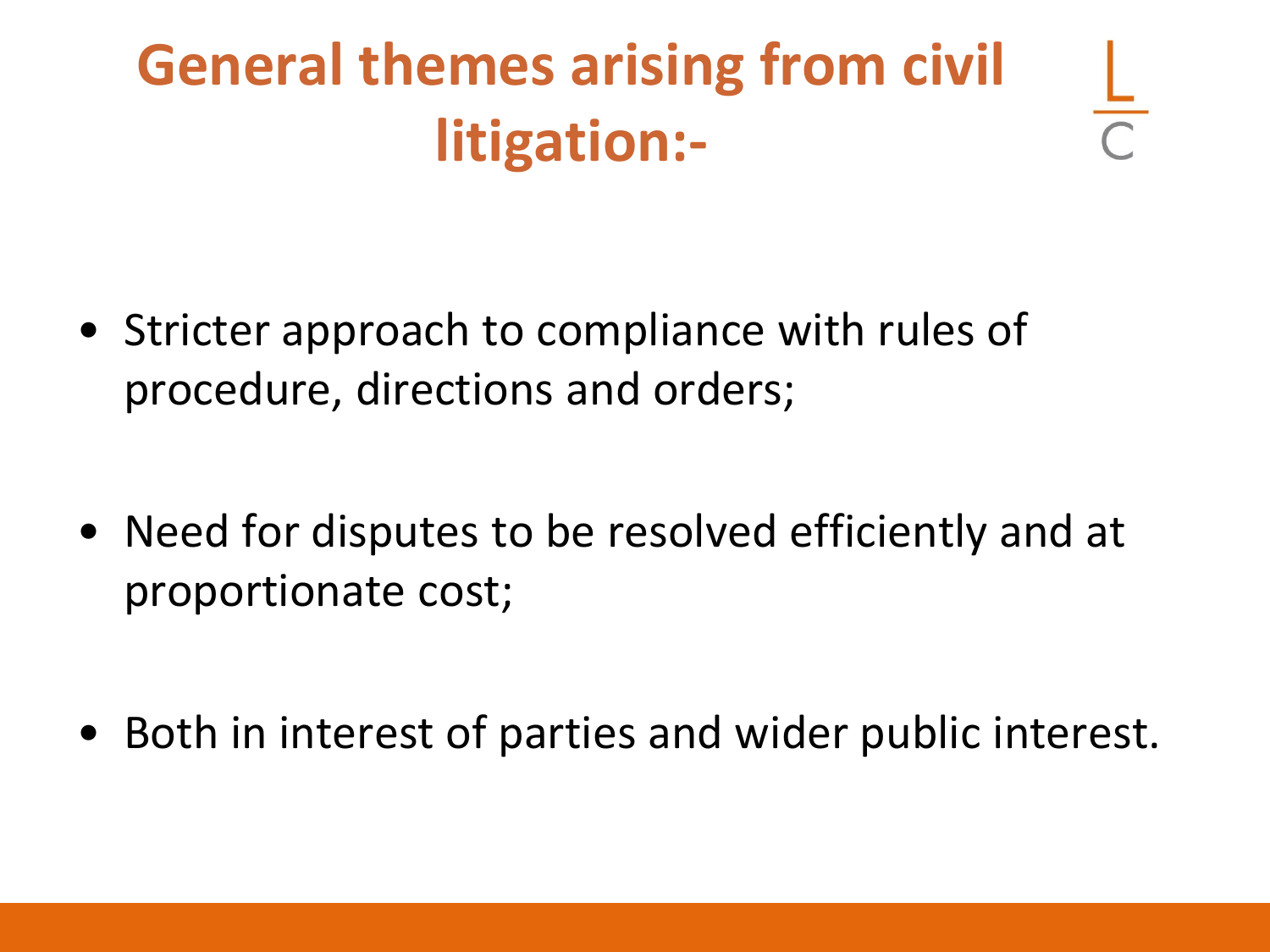# **General themes arising from civil litigation:-**

- Stricter approach to compliance with rules of procedure, directions and orders;
- Need for disputes to be resolved efficiently and at proportionate cost;
- Both in interest of parties and wider public interest.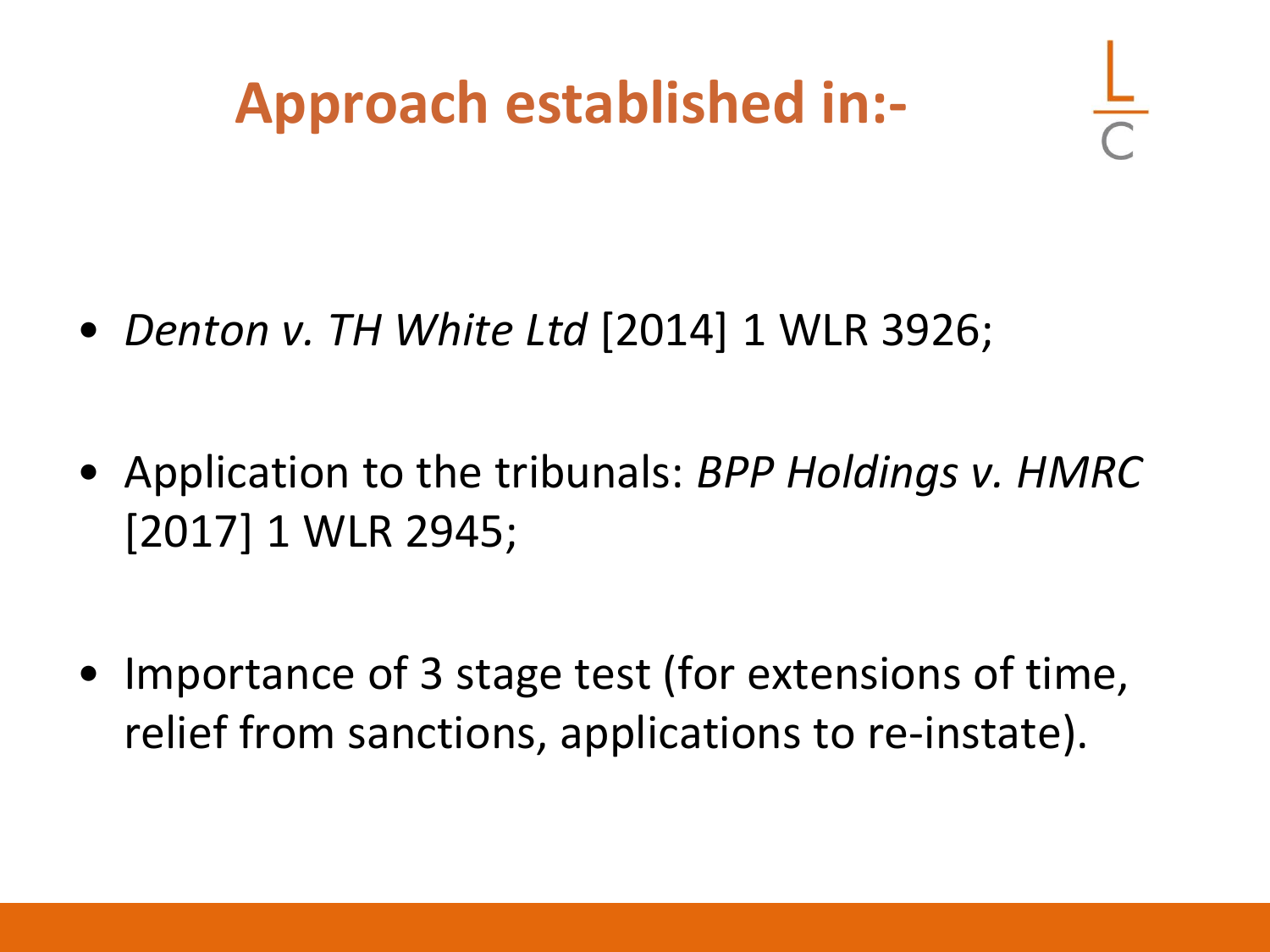### **Approach established in:-**

- *Denton v. TH White Ltd* [2014] 1 WLR 3926;
- Application to the tribunals: *BPP Holdings v. HMRC* [2017] 1 WLR 2945;
- Importance of 3 stage test (for extensions of time, relief from sanctions, applications to re-instate).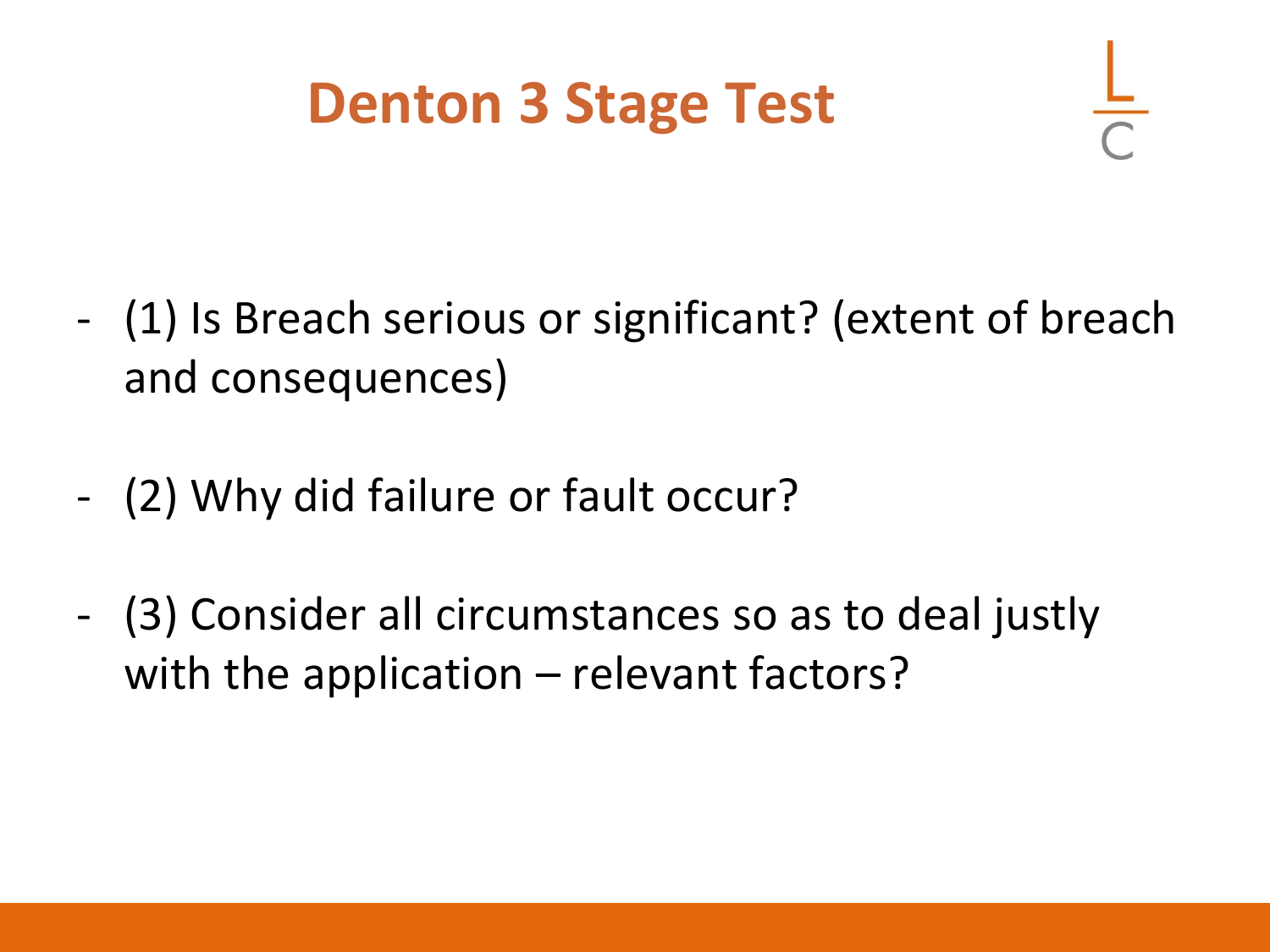## **Denton 3 Stage Test**

- (1) Is Breach serious or significant? (extent of breach and consequences)
- (2) Why did failure or fault occur?
- (3) Consider all circumstances so as to deal justly with the application – relevant factors?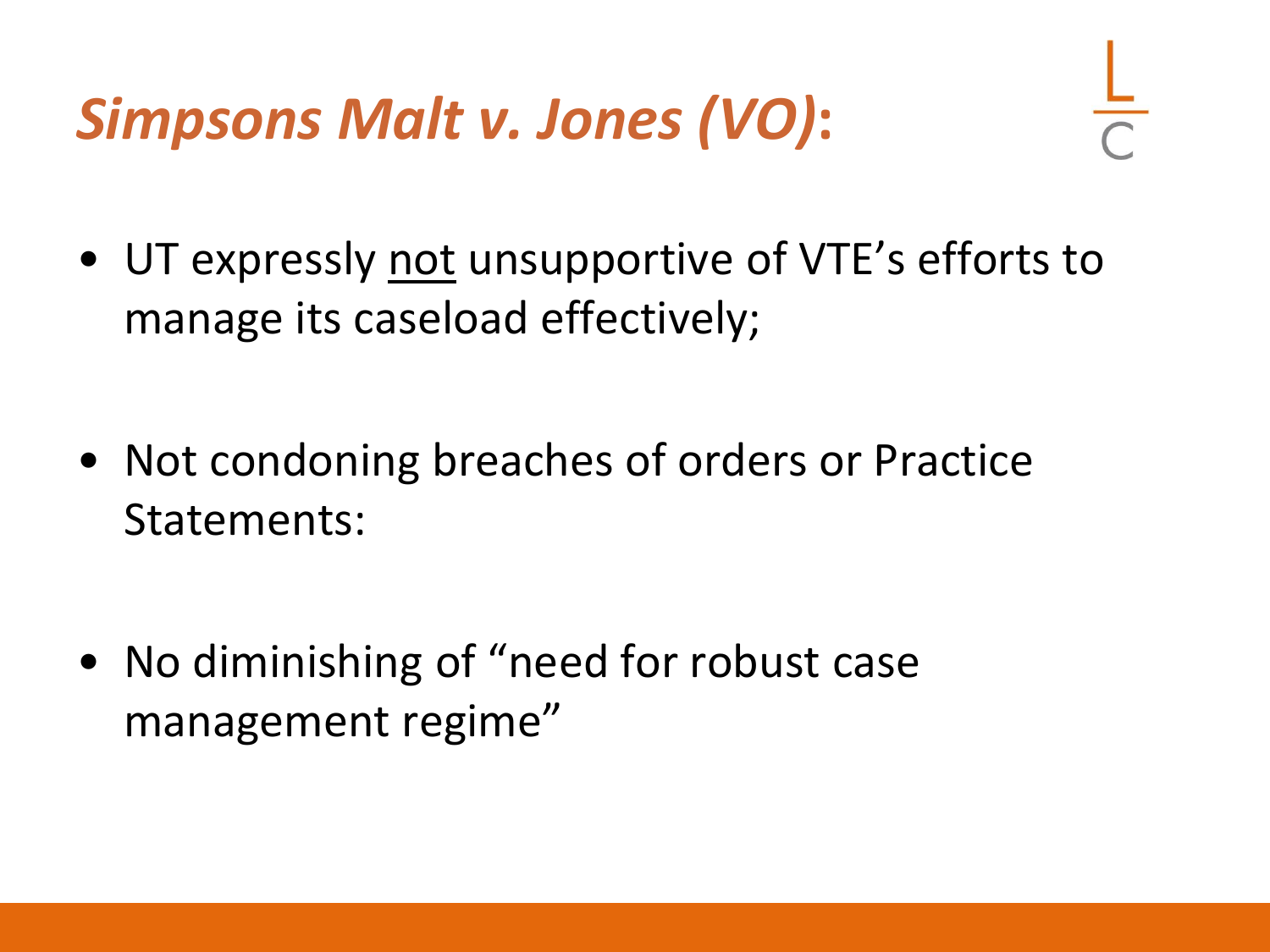## *Simpsons Malt v. Jones (VO)***:**

- UT expressly not unsupportive of VTE's efforts to manage its caseload effectively;
- Not condoning breaches of orders or Practice Statements:
- No diminishing of "need for robust case management regime"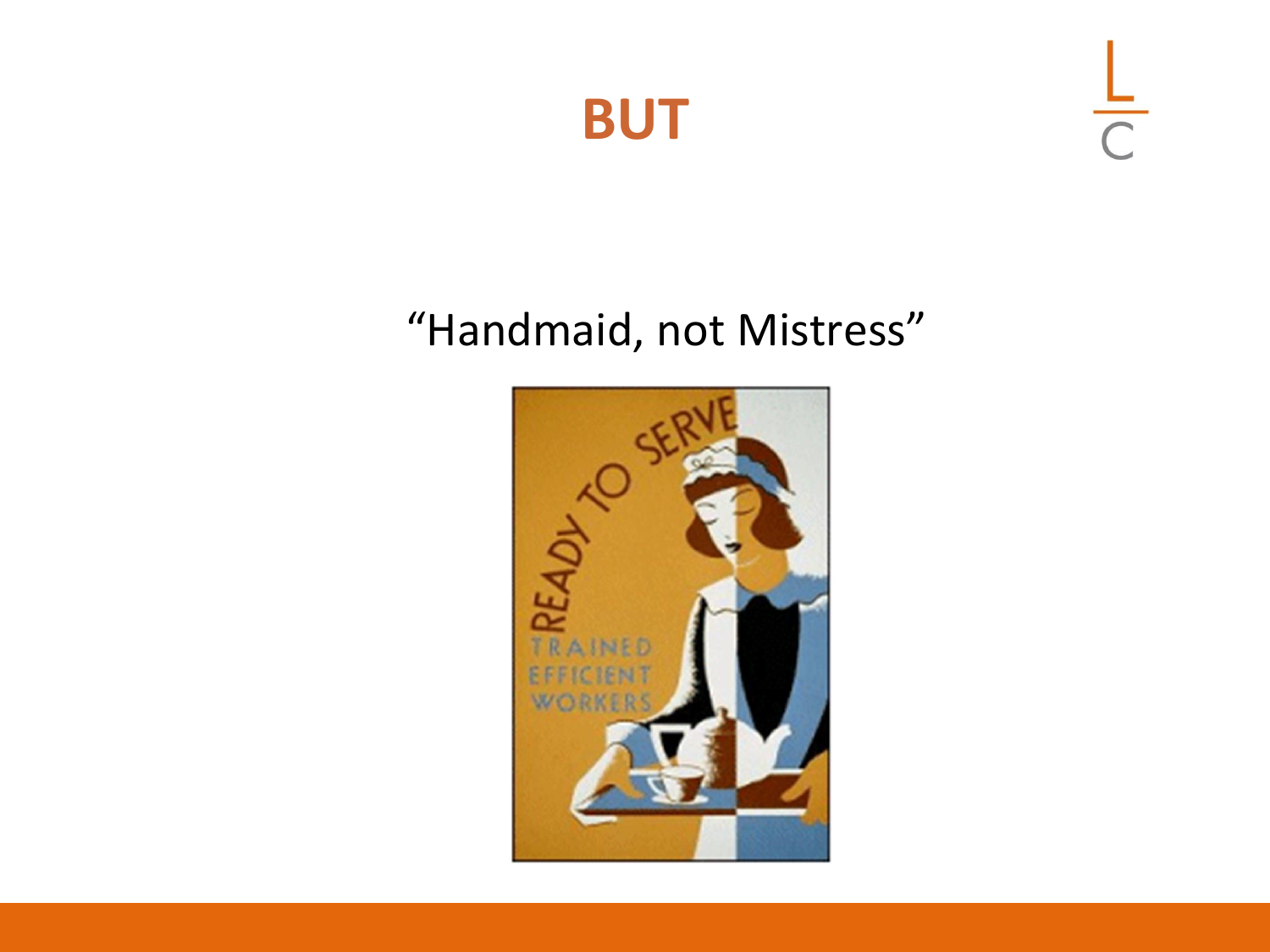

# $rac{L}{C}$

#### "Handmaid, not Mistress"

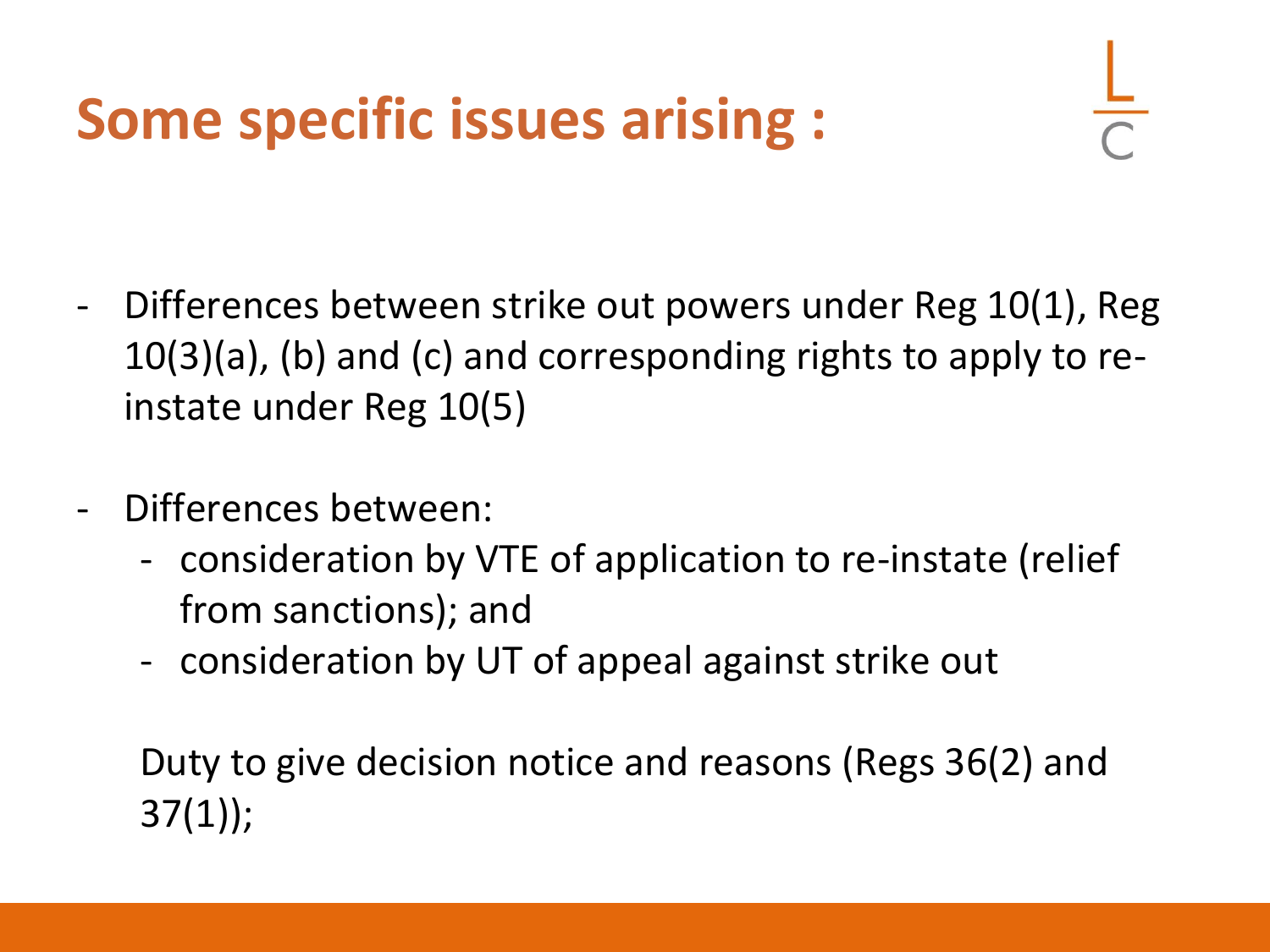# **Some specific issues arising :**

- Differences between strike out powers under Reg 10(1), Reg 10(3)(a), (b) and (c) and corresponding rights to apply to reinstate under Reg 10(5)
- Differences between:
	- consideration by VTE of application to re-instate (relief from sanctions); and
	- consideration by UT of appeal against strike out

Duty to give decision notice and reasons (Regs 36(2) and  $37(1)$ ;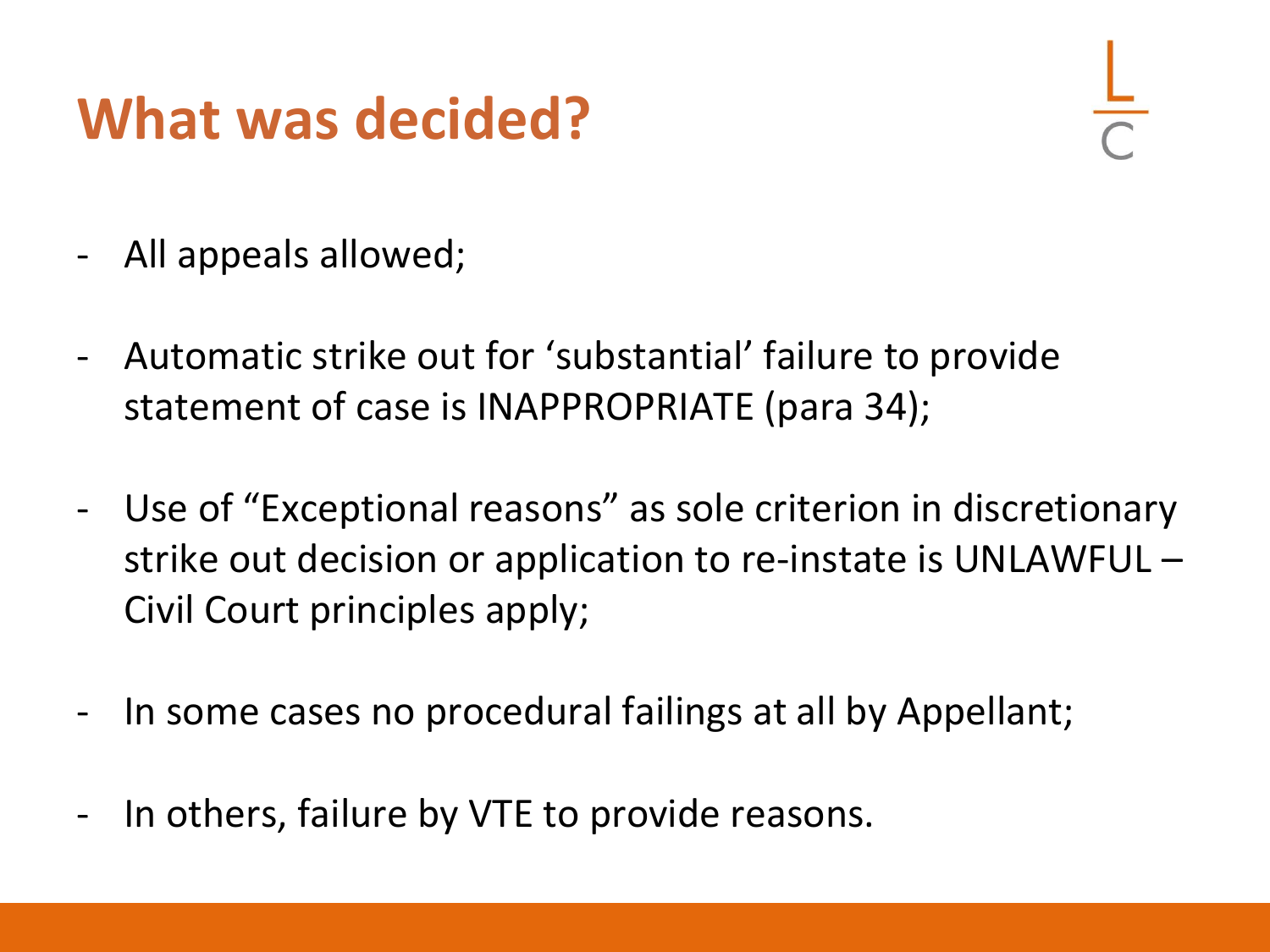## **What was decided?**

- All appeals allowed;
- Automatic strike out for 'substantial' failure to provide statement of case is INAPPROPRIATE (para 34);
- Use of "Exceptional reasons" as sole criterion in discretionary strike out decision or application to re-instate is UNLAWFUL – Civil Court principles apply;
- In some cases no procedural failings at all by Appellant;
- In others, failure by VTE to provide reasons.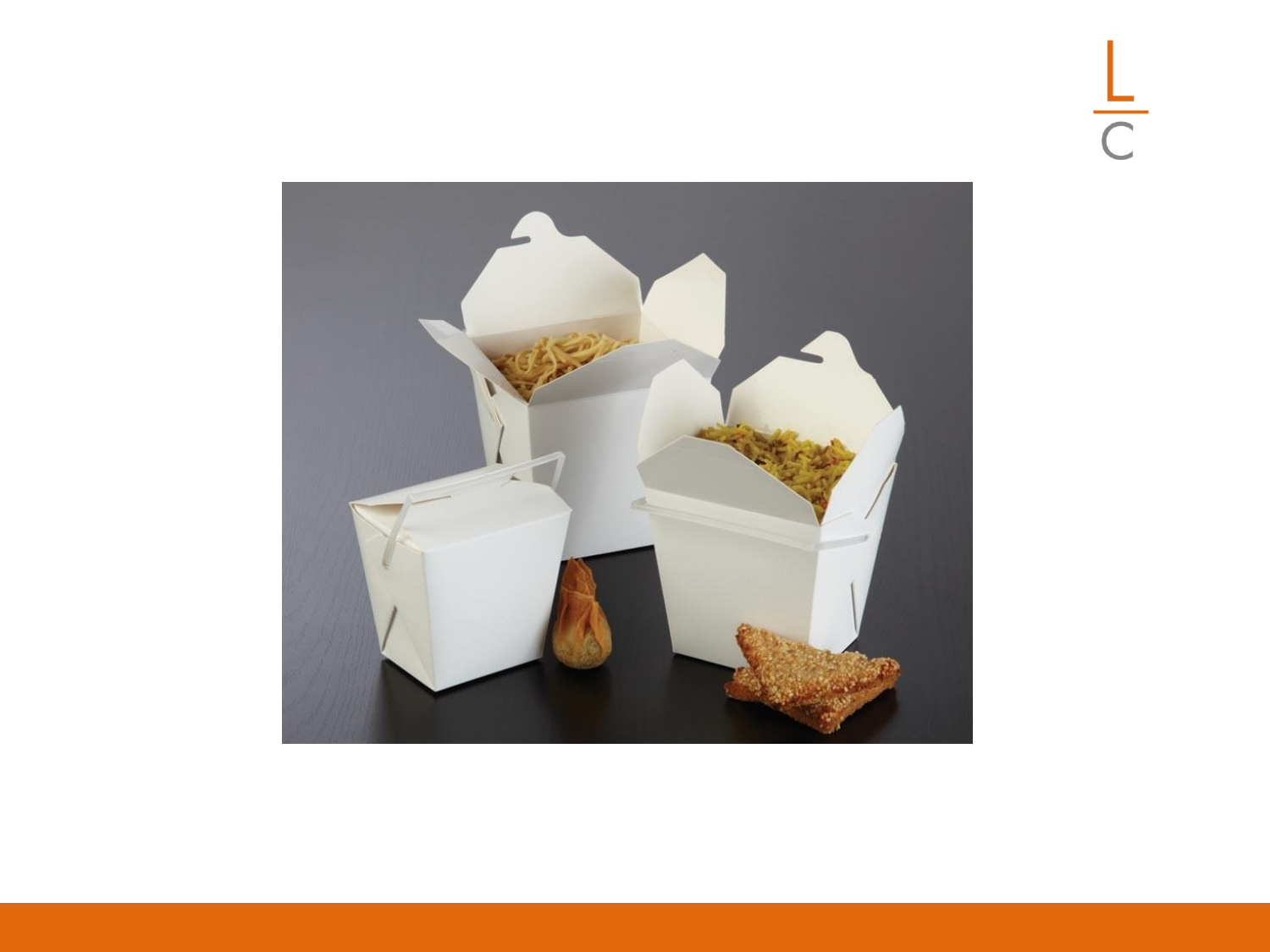

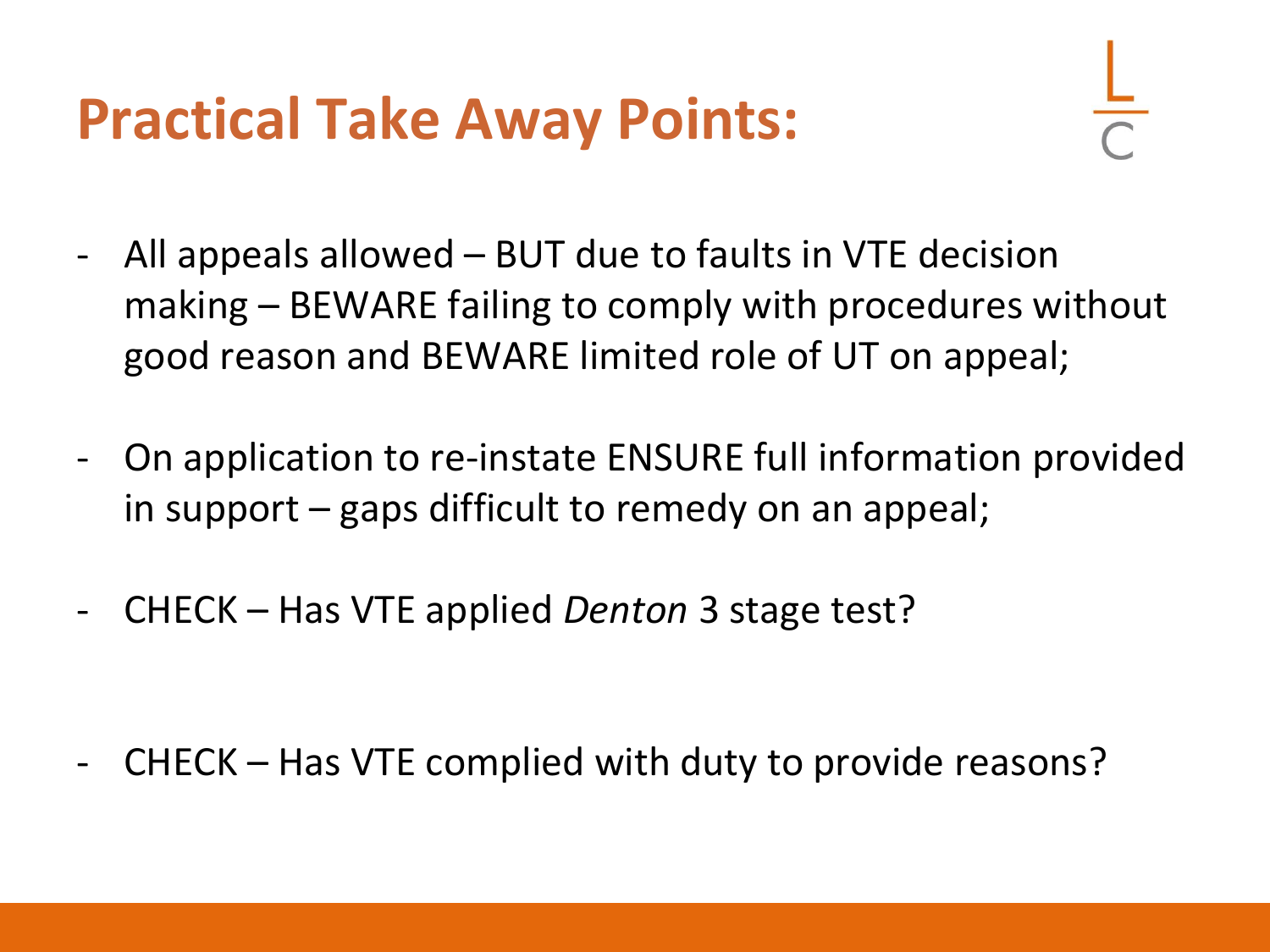### **Practical Take Away Points:**

- All appeals allowed BUT due to faults in VTE decision making – BEWARE failing to comply with procedures without good reason and BEWARE limited role of UT on appeal;
- On application to re-instate ENSURE full information provided in support – gaps difficult to remedy on an appeal;
- CHECK Has VTE applied *Denton* 3 stage test?

- CHECK – Has VTE complied with duty to provide reasons?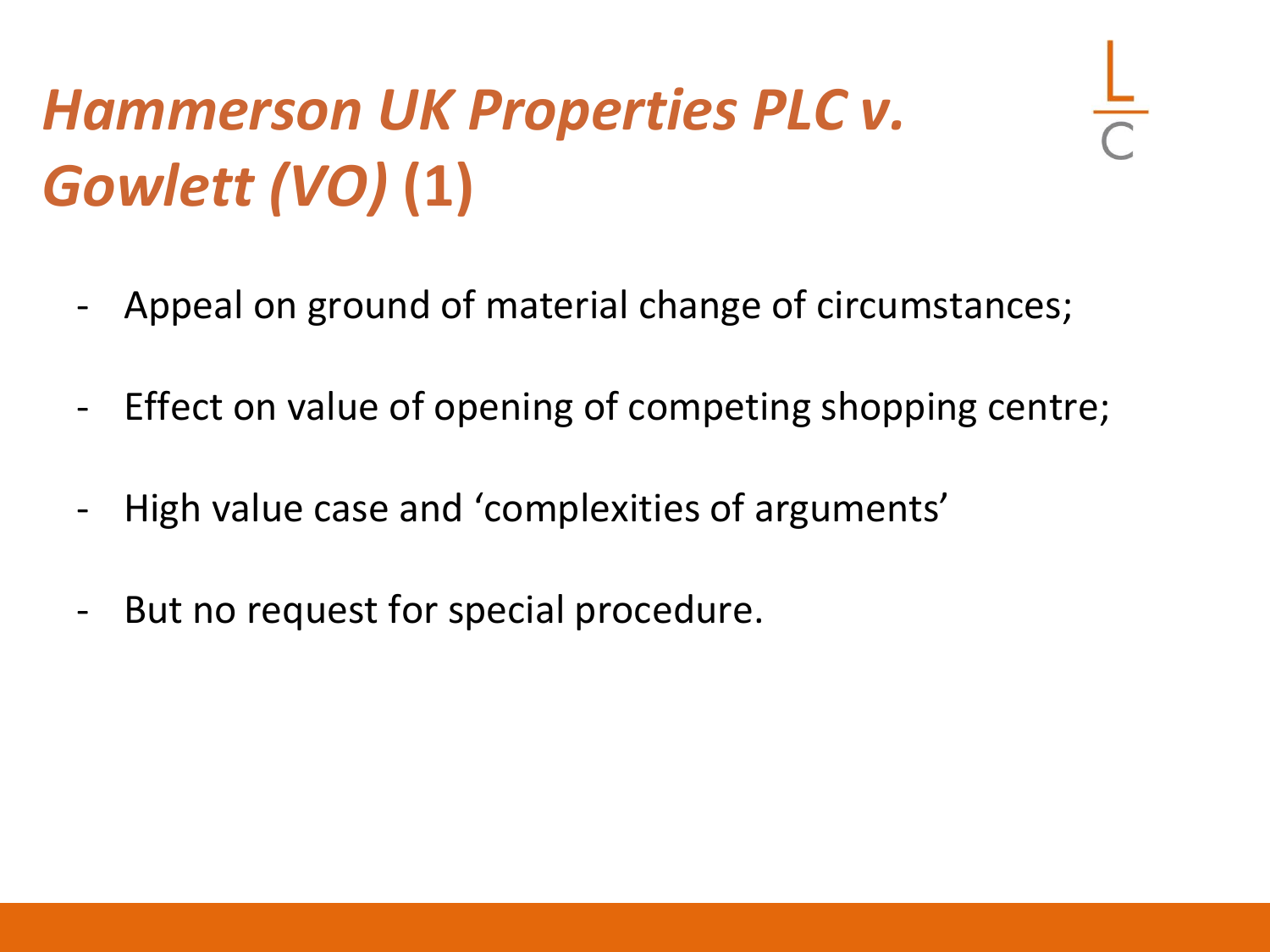# *Hammerson UK Properties PLC v. Gowlett (VO)* **(1)**

- Appeal on ground of material change of circumstances;
- Effect on value of opening of competing shopping centre;
- High value case and 'complexities of arguments'
- But no request for special procedure.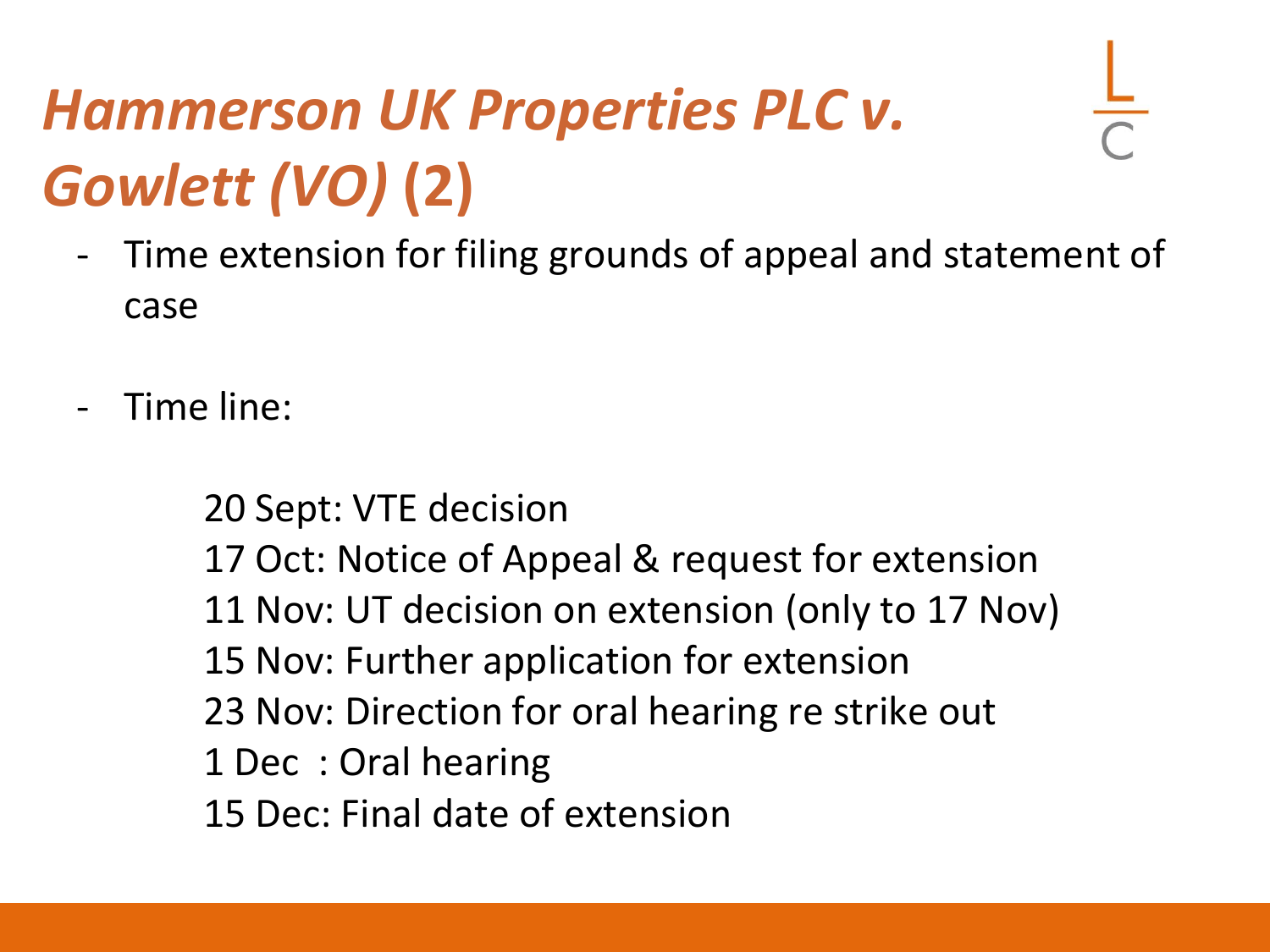# *Hammerson UK Properties PLC v. Gowlett (VO)* **(2)**

- Time extension for filing grounds of appeal and statement of case
- Time line:

20 Sept: VTE decision 17 Oct: Notice of Appeal & request for extension 11 Nov: UT decision on extension (only to 17 Nov) 15 Nov: Further application for extension 23 Nov: Direction for oral hearing re strike out 1 Dec : Oral hearing 15 Dec: Final date of extension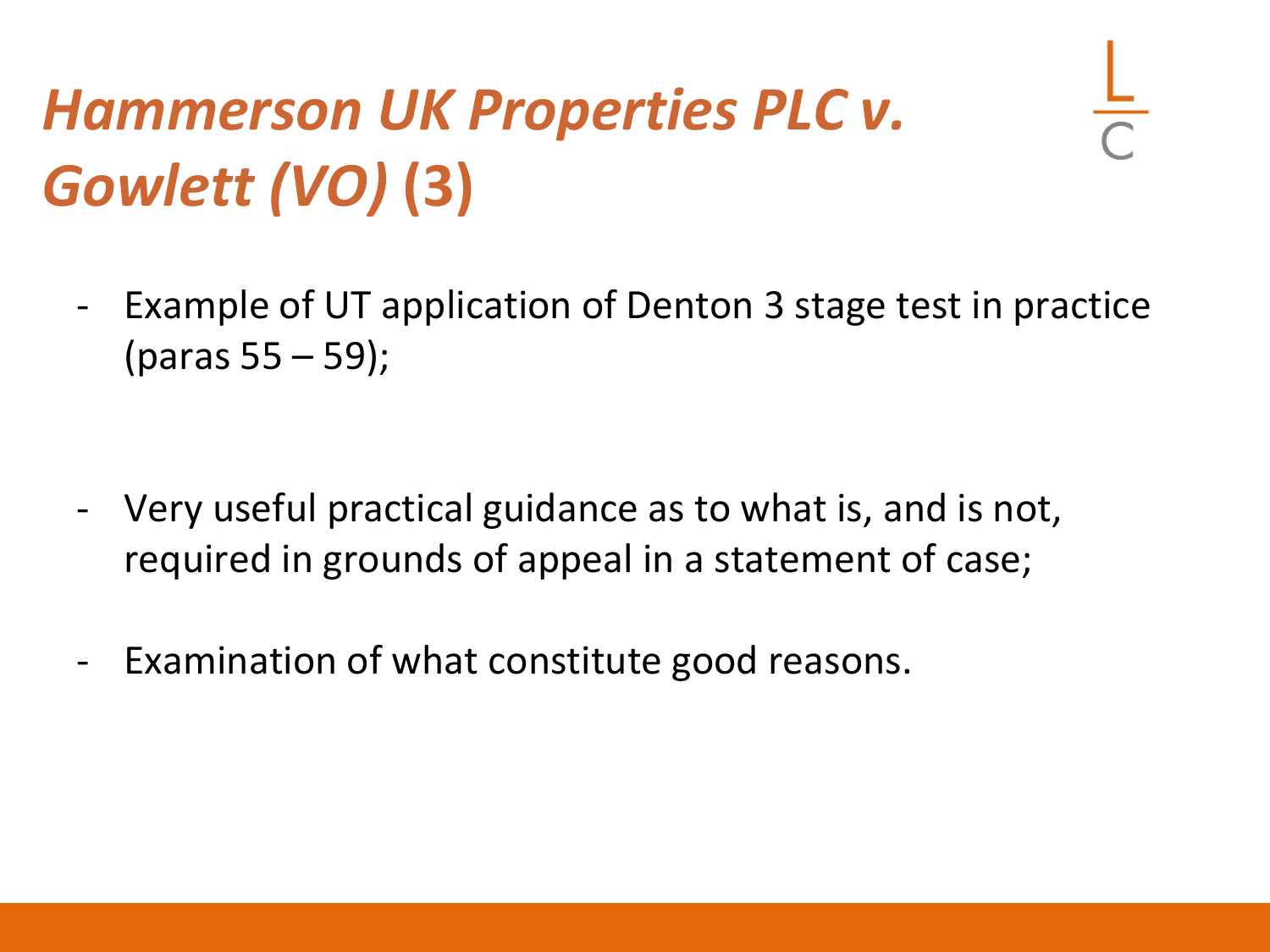# *Hammerson UK Properties PLC v. Gowlett (VO)* **(3)**

- Example of UT application of Denton 3 stage test in practice (paras 55 – 59);

- Very useful practical guidance as to what is, and is not, required in grounds of appeal in a statement of case;
- Examination of what constitute good reasons.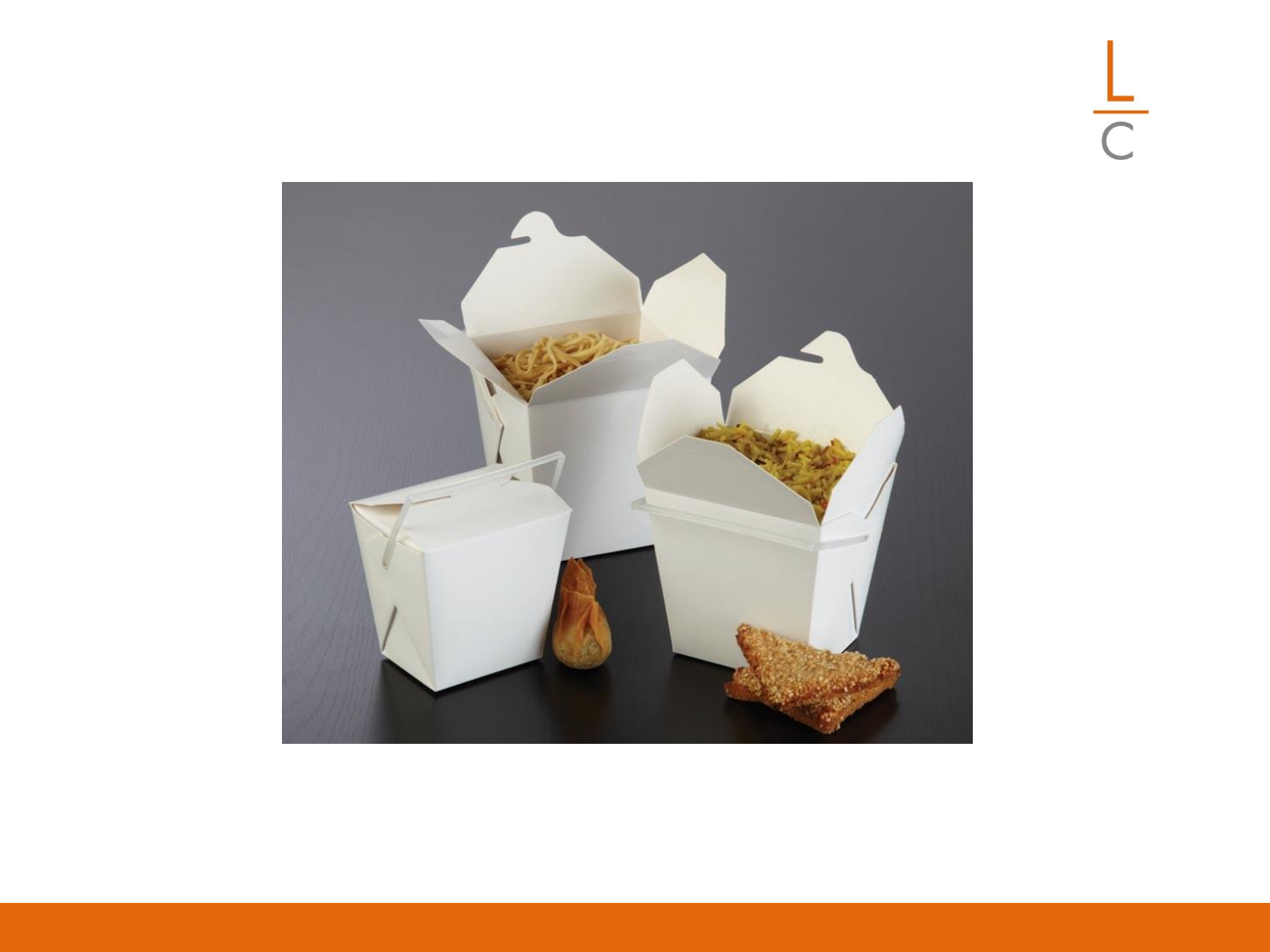

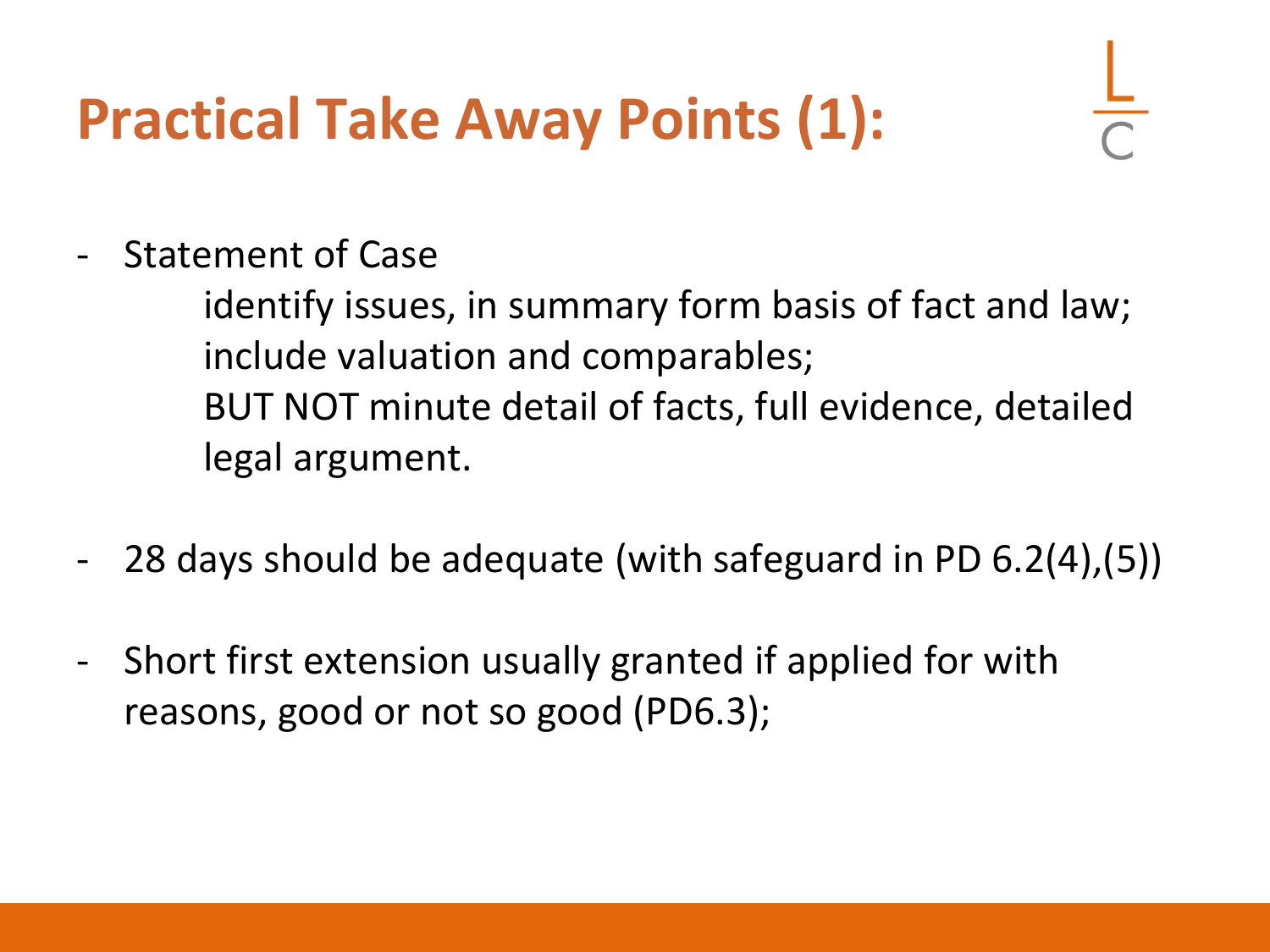# **Practical Take Away Points (1):**

- Statement of Case
	- identify issues, in summary form basis of fact and law; include valuation and comparables; BUT NOT minute detail of facts, full evidence, detailed legal argument.
- 28 days should be adequate (with safeguard in PD 6.2(4),(5))
- Short first extension usually granted if applied for with reasons, good or not so good (PD6.3);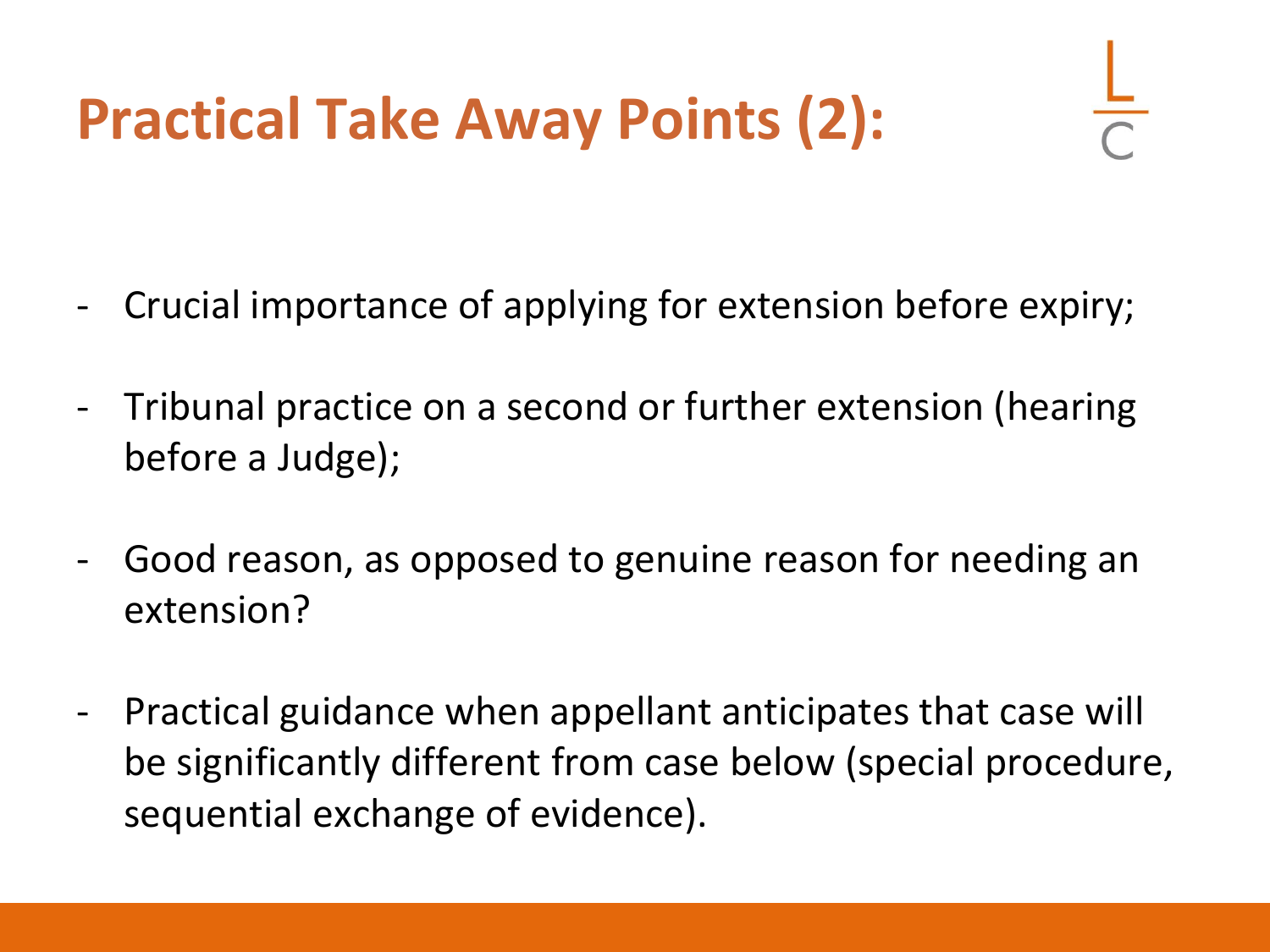# **Practical Take Away Points (2):**

- Crucial importance of applying for extension before expiry;
- Tribunal practice on a second or further extension (hearing before a Judge);
- Good reason, as opposed to genuine reason for needing an extension?
- Practical guidance when appellant anticipates that case will be significantly different from case below (special procedure, sequential exchange of evidence).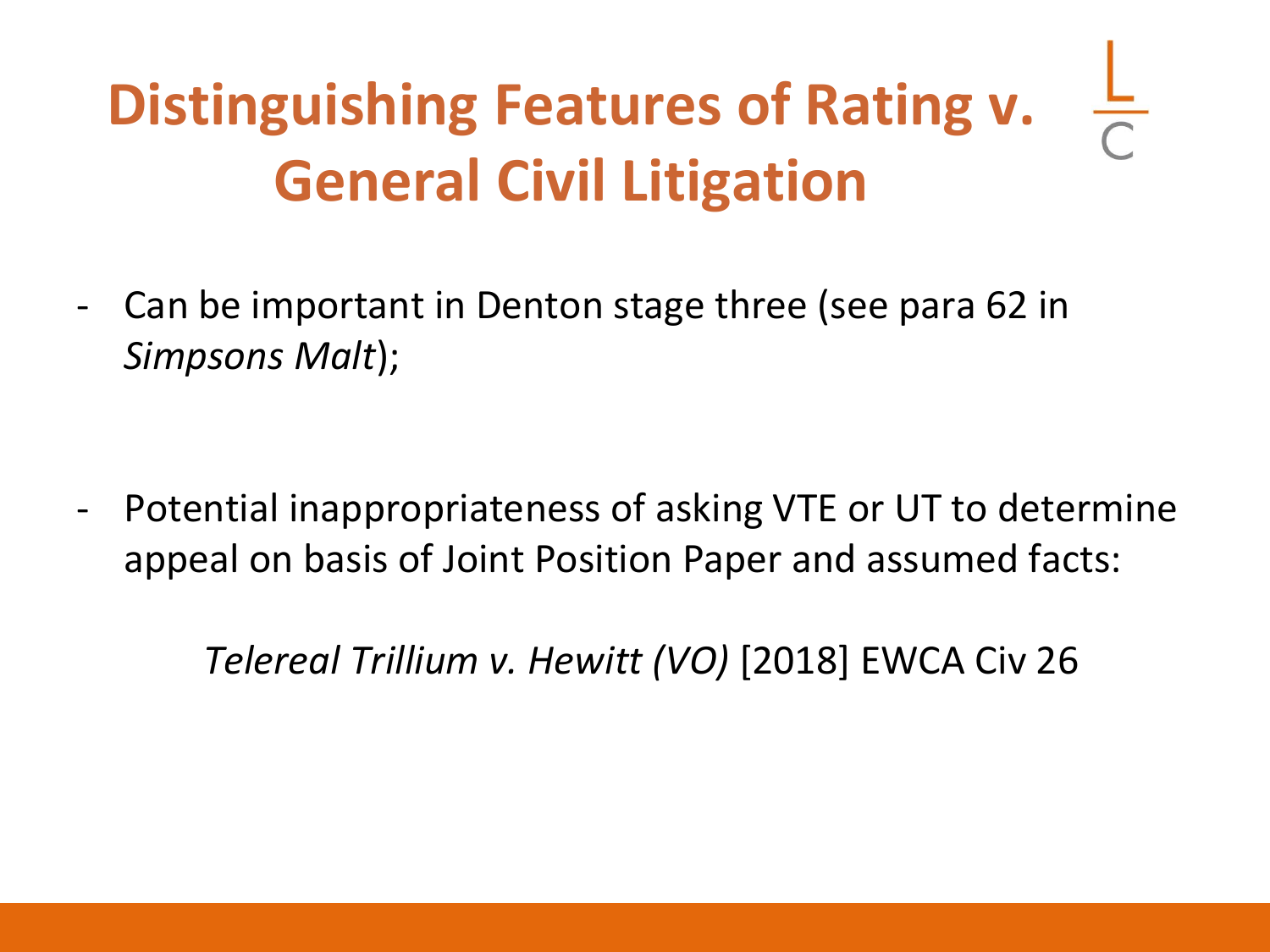# **Distinguishing Features of Rating v. General Civil Litigation**

- Can be important in Denton stage three (see para 62 in *Simpsons Malt*);

- Potential inappropriateness of asking VTE or UT to determine appeal on basis of Joint Position Paper and assumed facts:

*Telereal Trillium v. Hewitt (VO)* [2018] EWCA Civ 26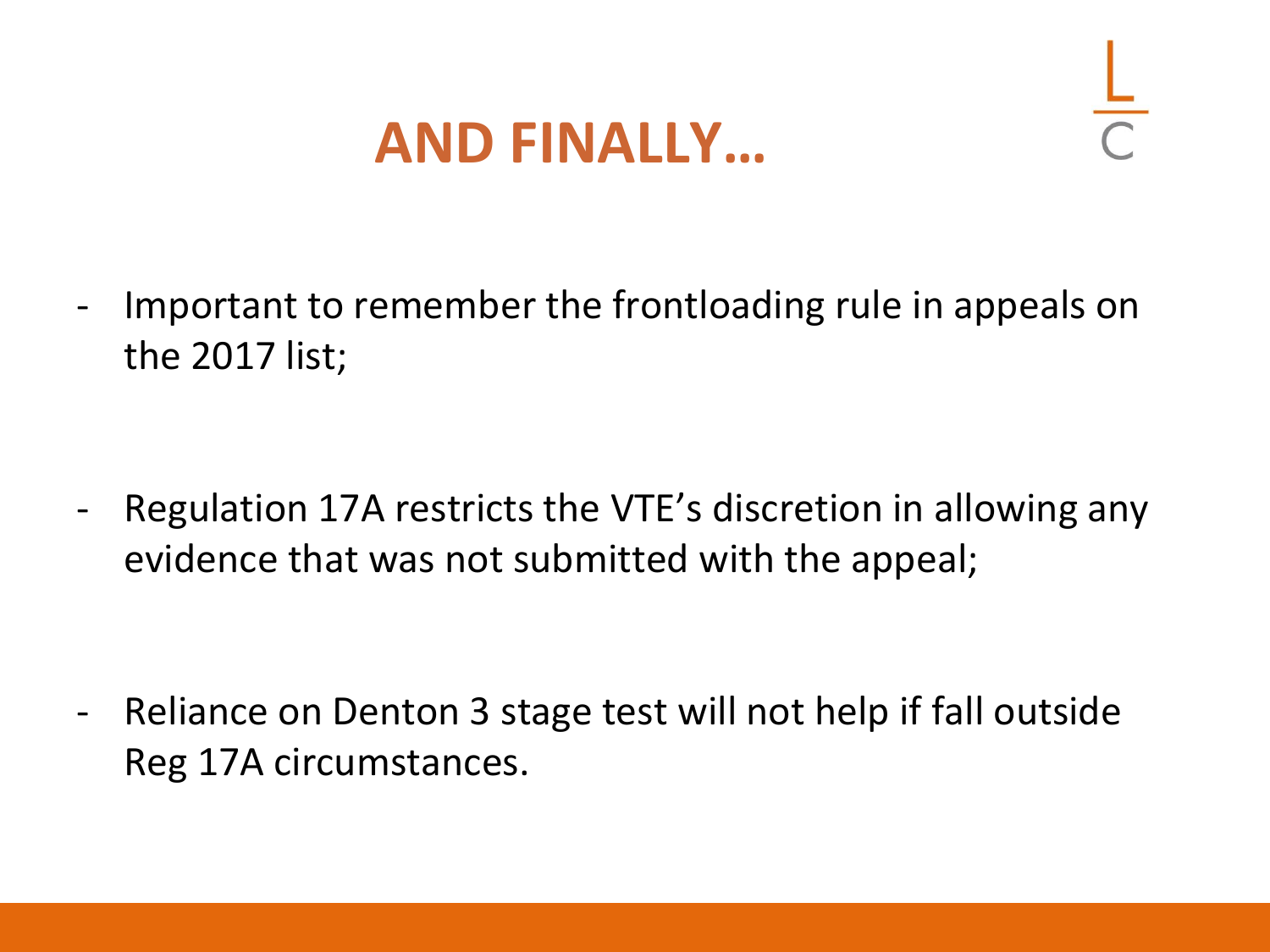#### **AND FINALLY…**

Important to remember the frontloading rule in appeals on the 2017 list;

- Regulation 17A restricts the VTE's discretion in allowing any evidence that was not submitted with the appeal;

- Reliance on Denton 3 stage test will not help if fall outside Reg 17A circumstances.